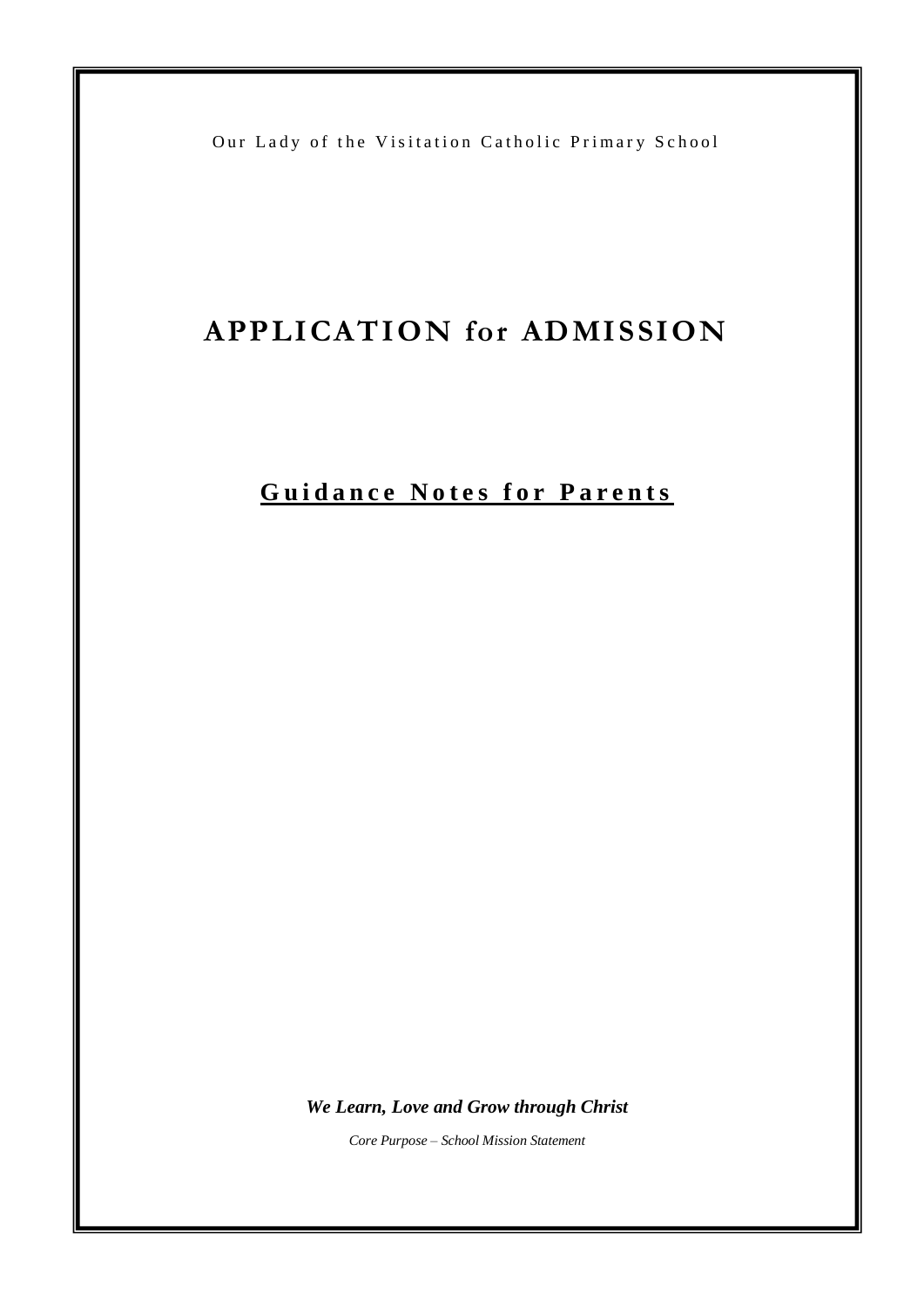Our Lady of the Visitation Catholic Primary School

I

# **APPLICATION for ADMISSION**

## **Guidance Notes for Parents**

*We Learn, Love and Grow through Christ*

*Core Purpose – School Mission Statement*